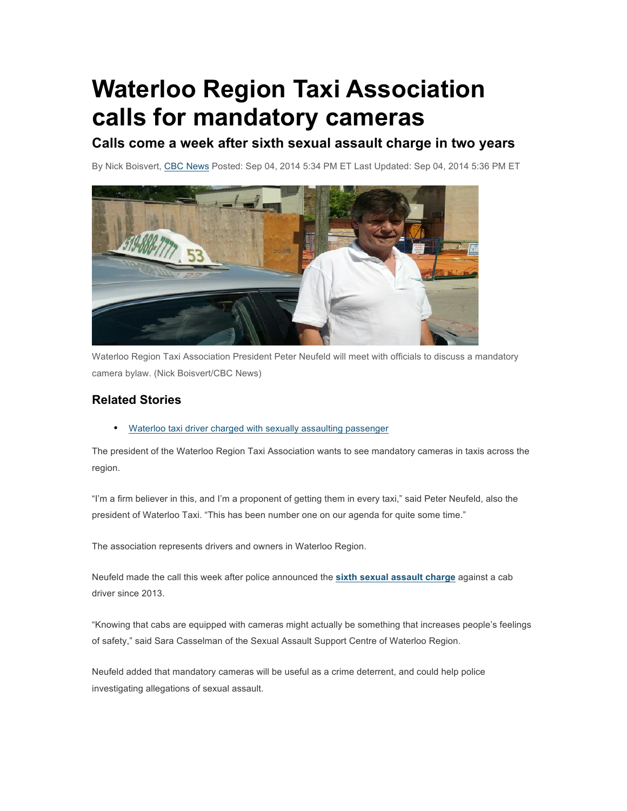## **Waterloo Region Taxi Association calls for mandatory cameras**

## **Calls come a week after sixth sexual assault charge in two years**

By Nick Boisvert, CBC News Posted: Sep 04, 2014 5:34 PM ET Last Updated: Sep 04, 2014 5:36 PM ET



Waterloo Region Taxi Association President Peter Neufeld will meet with officials to discuss a mandatory camera bylaw. (Nick Boisvert/CBC News)

## **Related Stories**

• Waterloo taxi driver charged with sexually assaulting passenger

The president of the Waterloo Region Taxi Association wants to see mandatory cameras in taxis across the region.

"I'm a firm believer in this, and I'm a proponent of getting them in every taxi," said Peter Neufeld, also the president of Waterloo Taxi. "This has been number one on our agenda for quite some time."

The association represents drivers and owners in Waterloo Region.

Neufeld made the call this week after police announced the **sixth sexual assault charge** against a cab driver since 2013.

"Knowing that cabs are equipped with cameras might actually be something that increases people's feelings of safety," said Sara Casselman of the Sexual Assault Support Centre of Waterloo Region.

Neufeld added that mandatory cameras will be useful as a crime deterrent, and could help police investigating allegations of sexual assault.